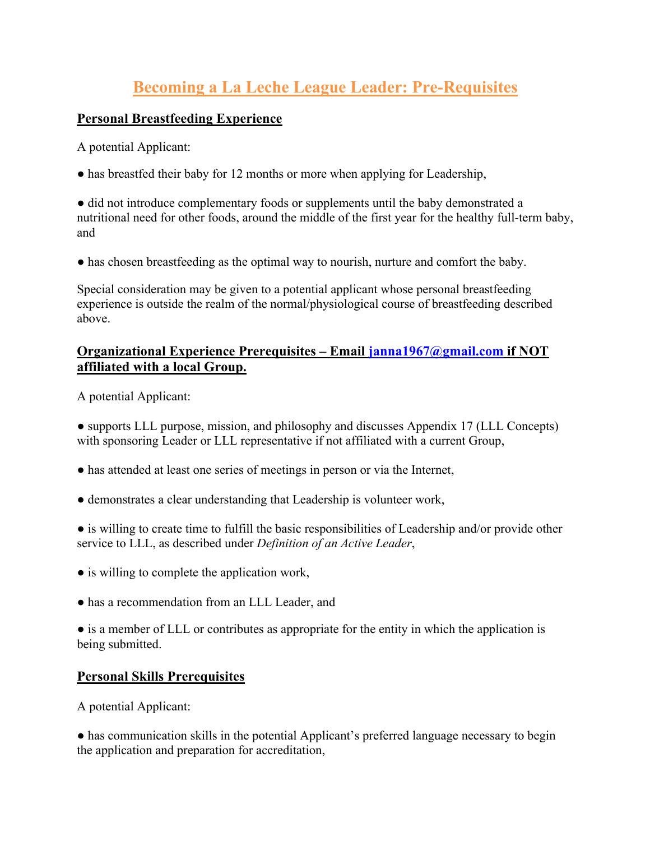## **Becoming a La Leche League Leader: Pre-Requisites**

## **Personal Breastfeeding Experience**

A potential Applicant:

• has breastfed their baby for 12 months or more when applying for Leadership,

● did not introduce complementary foods or supplements until the baby demonstrated a nutritional need for other foods, around the middle of the first year for the healthy full-term baby, and

• has chosen breastfeeding as the optimal way to nourish, nurture and comfort the baby.

Special consideration may be given to a potential applicant whose personal breastfeeding experience is outside the realm of the normal/physiological course of breastfeeding described above.

## **Organizational Experience Prerequisites – Email janna1967@gmail.com if NOT affiliated with a local Group.**

A potential Applicant:

● supports LLL purpose, mission, and philosophy and discusses Appendix 17 (LLL Concepts) with sponsoring Leader or LLL representative if not affiliated with a current Group,

- has attended at least one series of meetings in person or via the Internet,
- demonstrates a clear understanding that Leadership is volunteer work,
- is willing to create time to fulfill the basic responsibilities of Leadership and/or provide other service to LLL, as described under *Definition of an Active Leader*,
- is willing to complete the application work,
- has a recommendation from an LLL Leader, and

• is a member of LLL or contributes as appropriate for the entity in which the application is being submitted.

## **Personal Skills Prerequisites**

A potential Applicant:

● has communication skills in the potential Applicant's preferred language necessary to begin the application and preparation for accreditation,